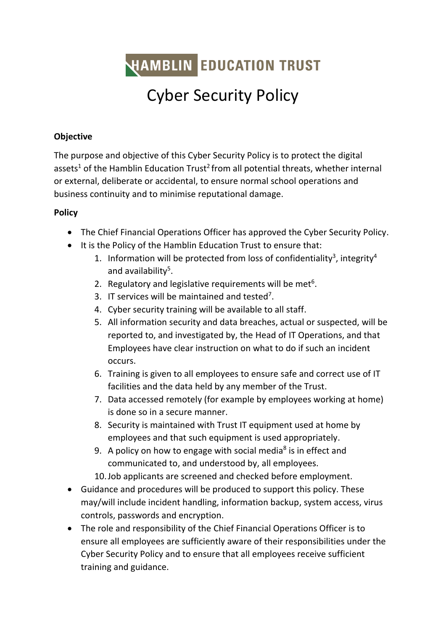**HAMBLIN EDUCATION TRUST** 

## Cyber Security Policy

## **Objective**

The purpose and objective of this Cyber Security Policy is to protect the digital assets<sup>1</sup> of the Hamblin Education Trust<sup>2</sup> from all potential threats, whether internal or external, deliberate or accidental, to ensure normal school operations and business continuity and to minimise reputational damage.

## **Policy**

- The Chief Financial Operations Officer has approved the Cyber Security Policy.
- It is the Policy of the Hamblin Education Trust to ensure that:
	- 1. Information will be protected from loss of confidentiality<sup>3</sup>, integrity<sup>4</sup> and availability<sup>5</sup>.
	- 2. Regulatory and legislative requirements will be met<sup>6</sup>.
	- 3. IT services will be maintained and tested<sup>7</sup>.
	- 4. Cyber security training will be available to all staff.
	- 5. All information security and data breaches, actual or suspected, will be reported to, and investigated by, the Head of IT Operations, and that Employees have clear instruction on what to do if such an incident occurs.
	- 6. Training is given to all employees to ensure safe and correct use of IT facilities and the data held by any member of the Trust.
	- 7. Data accessed remotely (for example by employees working at home) is done so in a secure manner.
	- 8. Security is maintained with Trust IT equipment used at home by employees and that such equipment is used appropriately.
	- 9. A policy on how to engage with social media<sup>8</sup> is in effect and communicated to, and understood by, all employees.
	- 10.Job applicants are screened and checked before employment.
- Guidance and procedures will be produced to support this policy. These may/will include incident handling, information backup, system access, virus controls, passwords and encryption.
- The role and responsibility of the Chief Financial Operations Officer is to ensure all employees are sufficiently aware of their responsibilities under the Cyber Security Policy and to ensure that all employees receive sufficient training and guidance.